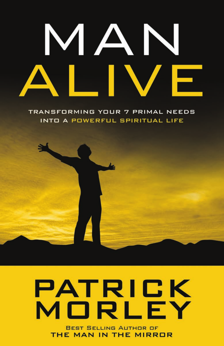# MAN  $\blacksquare$ F

TRANSFORMING YOUR 7 PRIMAL NEEDS INTO A POWERFUL SPIRITUAL LIFE



### PATRICK MORLEY **BEST SELLING AUTHOR OF** THE MAN IN THE MIRROR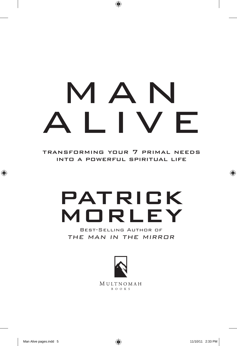# MAN<br>I IVF **a** l **v**

transforming your 7 primal needs into a powerful spiritual life

## patrick morley

Best-Selling Author of THE MAN IN THE MIRROR

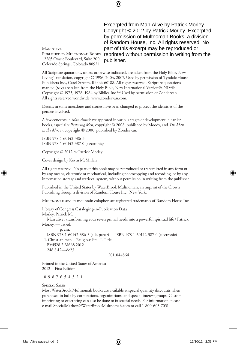Excerpted from Man Alive by Patrick Morley Copyright © 2012 by Patrick Morley. Excerpted by permission of Multnomah Books, a division of Random House, Inc. All rights reserved. No part of this excerpt may be reproduced or reprinted without permission in writing from the publisher.

Man Alive Published by Multnomah Books 12265 Oracle Boulevard, Suite 200 Colorado Springs, Colorado 80921

All Scripture quotations, unless otherwise indicated, are taken from the Holy Bible, New Living Translation, copyright © 1996, 2004, 2007. Used by permission of Tyndale House Publishers Inc., Carol Stream, Illinois 60188. All rights reserved. Scripture quotations marked (niv) are taken from the Holy Bible, New International Version®, NIV®. Copyright © 1973, 1978, 1984 by Biblica Inc.<sup>™</sup> Used by permission of Zondervan. All rights reserved worldwide. www.zondervan.com.

Details in some anecdotes and stories have been changed to protect the identities of the persons involved.

A few concepts in *Man Alive* have appeared in various stages of development in earlier books, especially *Pastoring Men,* copyright © 2008, published by Moody, and *The Man in the Mirror,* copyright © 2000, published by Zondervan.

ISBN 978-1-60142-386-3 ISBN 978-1-60142-387-0 (electronic)

Copyright © 2012 by Patrick Morley

Cover design by Kevin McMillan

All rights reserved. No part of this book may be reproduced or transmitted in any form or by any means, electronic or mechanical, including photocopying and recording, or by any information storage and retrieval system, without permission in writing from the publisher.

Published in the United States by WaterBrook Multnomah, an imprint of the Crown Publishing Group, a division of Random House Inc., New York.

MULTNOMAH and its mountain colophon are registered trademarks of Random House Inc.

Library of Congress Cataloging-in-Publication Data Morley, Patrick M.

 Man alive : transforming your seven primal needs into a powerful spiritual life / Patrick Morley. — 1st ed.

 p. cm. ISBN 978-1-60142-386-3 (alk. paper) — ISBN 978-1-60142-387-0 (electronic) 1. Christian men—Religious life. I. Title. BV4528.2.M668 2012 248.8'42—dc23

2011044864

Printed in the United States of America 2012—First Edition

10 9 8 7 6 5 4 3 2 1

#### Special Sales

Most WaterBrook Multnomah books are available at special quantity discounts when purchased in bulk by corporations, organizations, and special-interest groups. Custom imprinting or excerpting can also be done to fit special needs. For information, please e-mail SpecialMarkets@WaterBrookMultnomah.com or call 1-800-603-7051.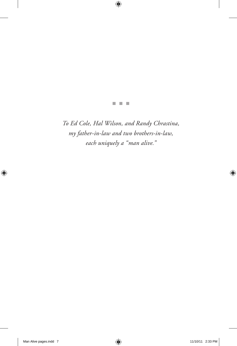n n n

*To Ed Cole, Hal Wilson, and Randy Chrastina, my father-in-law and two brothers-in-law, each uniquely a "man alive."*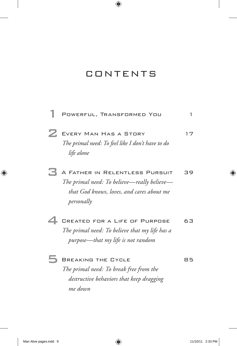### **CONTENTS**

|   | POWERFUL, TRANSFORMED YOU                                                                                                                | 1  |
|---|------------------------------------------------------------------------------------------------------------------------------------------|----|
| Z | EVERY MAN HAS A STORY<br>The primal need: To feel like I don't have to do<br>life alone                                                  | 17 |
|   | A FATHER IN RELENTLESS PURSUIT<br>The primal need: To believe—really believe—<br>that God knows, loves, and cares about me<br>personally | 39 |
|   | CREATED FOR A LIFE OF PURPOSE<br>The primal need: To believe that my life has a<br>purpose—that my life is not random                    | 63 |
|   | <b>BREAKING THE CYCLE</b><br>The primal need: To break free from the<br>destructive behaviors that keep dragging<br>me down              | 85 |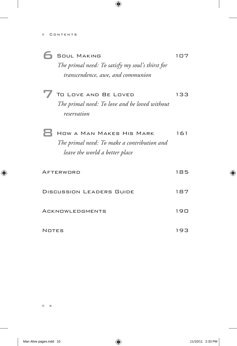| <b>6</b> SOUL MAKING                             | 1 0 7 |
|--------------------------------------------------|-------|
| The primal need: To satisfy my soul's thirst for |       |
| transcendence, awe, and communion                |       |

 $\sqrt{ }$  To Love and Be Loved 133 *The primal need: To love and be loved without reservation*

| HOW A MAN MAKES HIS MARK                    | 161 |
|---------------------------------------------|-----|
| The primal need: To make a contribution and |     |
| leave the world a better place              |     |

| AFTERWORD                       | 185 |
|---------------------------------|-----|
| <b>DISCUSSION LEADERS GUIDE</b> | 187 |
| ACKNOWLEDGMENTS                 | 190 |
| <b>NOTES</b>                    | 193 |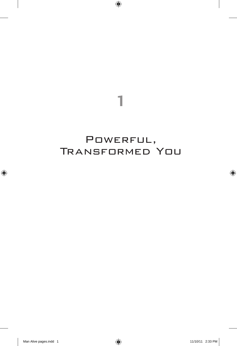1

### POWERFUL, Transformed You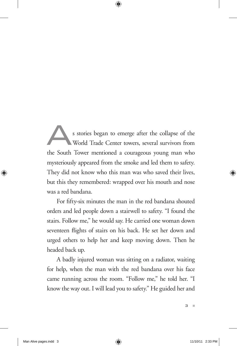s stories began to emerge after the collapse of the<br>World Trade Center towers, several survivors from<br>the South Tower mentioned a courageous young man who World Trade Center towers, several survivors from the South Tower mentioned a courageous young man who mysteriously appeared from the smoke and led them to safety. They did not know who this man was who saved their lives, but this they remembered: wrapped over his mouth and nose was a red bandana.

For fifty-six minutes the man in the red bandana shouted orders and led people down a stairwell to safety. "I found the stairs. Follow me," he would say. He carried one woman down seventeen flights of stairs on his back. He set her down and urged others to help her and keep moving down. Then he headed back up.

A badly injured woman was sitting on a radiator, waiting for help, when the man with the red bandana over his face came running across the room. "Follow me," he told her. "I know the way out. I will lead you to safety." He guided her and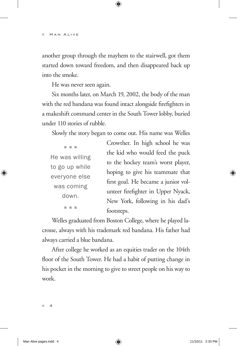another group through the mayhem to the stairwell, got them started down toward freedom, and then disappeared back up into the smoke.

He was never seen again.

Six months later, on March 19, 2002, the body of the man with the red bandana was found intact alongside firefighters in a makeshift command center in the South Tower lobby, buried under 110 stories of rubble.

Slowly the story began to come out. His name was Welles

| He was willing |
|----------------|
| to go up while |
| everyone else  |
| was coming     |
| down.          |
|                |

Crowther. In high school he was the kid who would feed the puck to the hockey team's worst player, hoping to give his teammate that first goal. He became a junior volunteer firefighter in Upper Nyack, New York, following in his dad's footsteps.

Welles graduated from Boston College, where he played lacrosse, always with his trademark red bandana. His father had always carried a blue bandana.

After college he worked as an equities trader on the 104th floor of the South Tower. He had a habit of putting change in his pocket in the morning to give to street people on his way to work.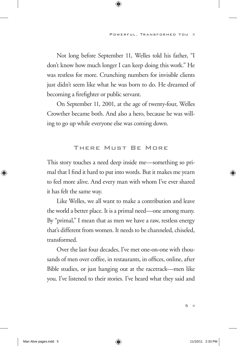Not long before September 11, Welles told his father, "I don't know how much longer I can keep doing this work." He was restless for more. Crunching numbers for invisible clients just didn't seem like what he was born to do. He dreamed of becoming a firefighter or public servant.

On September 11, 2001, at the age of twenty-four, Welles Crowther became both. And also a hero, because he was willing to go up while everyone else was coming down.

#### There Must Be More

This story touches a need deep inside me—something so primal that I find it hard to put into words. But it makes me yearn to feel more alive. And every man with whom I've ever shared it has felt the same way.

Like Welles, we all want to make a contribution and leave the world a better place. It is a primal need—one among many. By "primal," I mean that as men we have a raw, restless energy that's different from women. It needs to be channeled, chiseled, transformed.

Over the last four decades, I've met one-on-one with thousands of men over coffee, in restaurants, in offices, online, after Bible studies, or just hanging out at the racetrack—men like you. I've listened to their stories. I've heard what they said and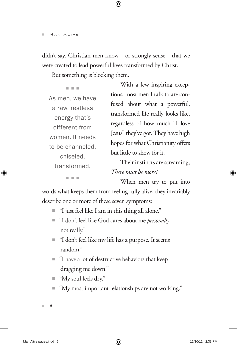didn't say. Christian men know—or strongly sense—that we were created to lead powerful lives transformed by Christ.

But something is blocking them.

n n n As men, we have a raw, restless energy that's different from women. It needs to be channeled, chiseled, transformed.

With a few inspiring exceptions, most men I talk to are confused about what a powerful, transformed life really looks like, regardless of how much "I love Jesus" they've got. They have high hopes for what Christianity offers but little to show for it.

Their instincts are screaming, *There must be more!*

n n n

When men try to put into

words what keeps them from feeling fully alive, they invariably describe one or more of these seven symptoms:

- $\blacksquare$  "I just feel like I am in this thing all alone."
- "I don't feel like God cares about me *personally* not really."
- "I don't feel like my life has a purpose. It seems random."
- "I have a lot of destructive behaviors that keep dragging me down."
- "My soul feels dry."
- "My most important relationships are not working."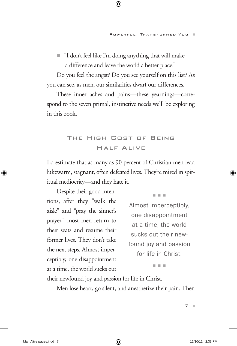$\blacksquare$  "I don't feel like I'm doing anything that will make a difference and leave the world a better place."

Do you feel the angst? Do you see yourself on this list? As you can see, as men, our similarities dwarf our differences.

These inner aches and pains—these yearnings—correspond to the seven primal, instinctive needs we'll be exploring in this book.

#### The High Cost of Being Half Alive

I'd estimate that as many as 90 percent of Christian men lead lukewarm, stagnant, often defeated lives. They're mired in spiritual mediocrity—and they hate it.

Despite their good intentions, after they "walk the aisle" and "pray the sinner's prayer," most men return to their seats and resume their former lives. They don't take the next steps. Almost imperceptibly, one disappointment at a time, the world sucks out

n n n

Almost imperceptibly, one disappointment at a time, the world sucks out their newfound joy and passion for life in Christ.

n n n

their newfound joy and passion for life in Christ.

Men lose heart, go silent, and anesthetize their pain. Then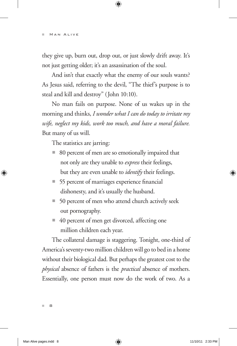they give up, burn out, drop out, or just slowly drift away. It's not just getting older; it's an assassination of the soul.

And isn't that exactly what the enemy of our souls wants? As Jesus said, referring to the devil, "The thief's purpose is to steal and kill and destroy" (John 10:10).

No man fails on purpose. None of us wakes up in the morning and thinks, *I wonder what I can do today to irritate my wife, neglect my kids, work too much, and have a moral failure.* But many of us will.

The statistics are jarring:

- 80 percent of men are so emotionally impaired that not only are they unable to *express* their feelings, but they are even unable to *identify* their feelings.
- 55 percent of marriages experience financial dishonesty, and it's usually the husband.
- $\Box$  50 percent of men who attend church actively seek out pornography.
- 40 percent of men get divorced, affecting one million children each year.

The collateral damage is staggering. Tonight, one-third of America's seventy-two million children will go to bed in a home without their biological dad. But perhaps the greatest cost to the *physical* absence of fathers is the *practical* absence of mothers. Essentially, one person must now do the work of two. As a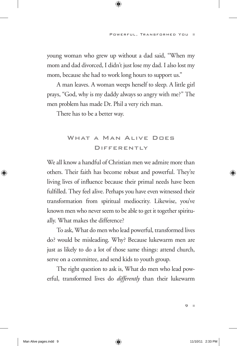young woman who grew up without a dad said, "When my mom and dad divorced, I didn't just lose my dad. I also lost my mom, because she had to work long hours to support us."

A man leaves. A woman weeps herself to sleep. A little girl prays, "God, why is my daddy always so angry with me?" The men problem has made Dr. Phil a very rich man.

There has to be a better way.

#### WHAT A MAN ALIVE DOES **DIFFERENTLY**

We all know a handful of Christian men we admire more than others. Their faith has become robust and powerful. They're living lives of influence because their primal needs have been fulfilled. They feel alive. Perhaps you have even witnessed their transformation from spiritual mediocrity. Likewise, you've known men who never seem to be able to get it together spiritually. What makes the difference?

To ask, What do men who lead powerful, transformed lives do? would be misleading. Why? Because lukewarm men are just as likely to do a lot of those same things: attend church, serve on a committee, and send kids to youth group.

The right question to ask is, What do men who lead powerful, transformed lives do *differently* than their lukewarm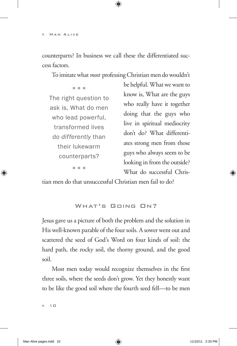counterparts? In business we call these the differentiated success factors.

To imitate what *most* professing Christian men do wouldn't

n n n The right question to ask is, What do men who lead powerful, transformed lives do *differently* than their lukewarm counterparts? n n n

be helpful. What we want to know is, What are the guys who really have it together doing that the guys who live in spiritual mediocrity don't do? What differentiates strong men from those guys who always seem to be looking in from the outside? What do successful Chris-

tian men do that unsuccessful Christian men fail to do?

WHAT'S GOING ON?

Jesus gave us a picture of both the problem and the solution in His well-known parable of the four soils. A sower went out and scattered the seed of God's Word on four kinds of soil: the hard path, the rocky soil, the thorny ground, and the good soil.

Most men today would recognize themselves in the first three soils, where the seeds don't grow. Yet they honestly want to be like the good soil where the fourth seed fell—to be men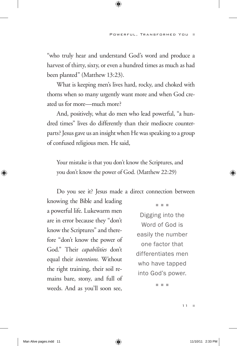"who truly hear and understand God's word and produce a harvest of thirty, sixty, or even a hundred times as much as had been planted" (Matthew 13:23).

What is keeping men's lives hard, rocky, and choked with thorns when so many urgently want more and when God created us for more—much more?

And, positively, what do men who lead powerful, "a hundred times" lives do differently than their mediocre counterparts? Jesus gave us an insight when He was speaking to a group of confused religious men. He said,

Your mistake is that you don't know the Scriptures, and you don't know the power of God. (Matthew 22:29)

Do you see it? Jesus made a direct connection between

knowing the Bible and leading a powerful life. Lukewarm men are in error because they "don't know the Scriptures" and therefore "don't know the power of God." Their *capabilities* don't equal their *intentions.* Without the right training, their soil remains bare, stony, and full of weeds. And as you'll soon see,

n n n

Digging into the Word of God is easily the number one factor that differentiates men who have tapped into God's power.

n n n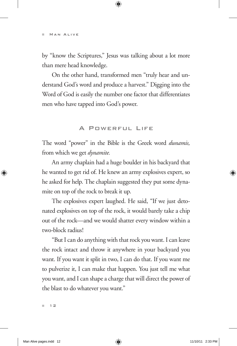by "know the Scriptures," Jesus was talking about a lot more than mere head knowledge.

On the other hand, transformed men "truly hear and understand God's word and produce a harvest." Digging into the Word of God is easily the number one factor that differentiates men who have tapped into God's power.

#### A POWERFUL LIFE

The word "power" in the Bible is the Greek word *dunamis,* from which we get *dynamite.*

An army chaplain had a huge boulder in his backyard that he wanted to get rid of. He knew an army explosives expert, so he asked for help. The chaplain suggested they put some dynamite on top of the rock to break it up.

The explosives expert laughed. He said, "If we just detonated explosives on top of the rock, it would barely take a chip out of the rock—and we would shatter every window within a two-block radius!

"But I can do anything with that rock you want. I can leave the rock intact and throw it anywhere in your backyard you want. If you want it split in two, I can do that. If you want me to pulverize it, I can make that happen. You just tell me what you want, and I can shape a charge that will direct the power of the blast to do whatever you want."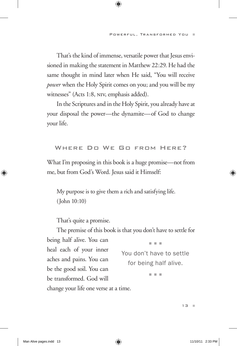That's the kind of immense, versatile power that Jesus envisioned in making the statement in Matthew 22:29. He had the same thought in mind later when He said, "You will receive *power* when the Holy Spirit comes on you; and you will be my witnesses" (Acts 1:8, NIV, emphasis added).

In the Scriptures and in the Holy Spirit, you already have at your disposal the power—the dynamite—of God to change your life.

#### Where Do We Go from Here?

What I'm proposing in this book is a huge promise—not from me, but from God's Word. Jesus said it Himself:

My purpose is to give them a rich and satisfying life. (John 10:10)

That's quite a promise.

The premise of this book is that you don't have to settle for being half alive. You can heal each of your inner aches and pains. You can be the good soil. You can be transformed. God will change your life one verse at a time. n n n You don't have to settle for being half alive. n n n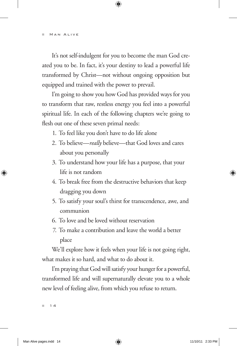It's not self-indulgent for you to become the man God created you to be. In fact, it's your destiny to lead a powerful life transformed by Christ—not without ongoing opposition but equipped and trained with the power to prevail.

I'm going to show you how God has provided ways for you to transform that raw, restless energy you feel into a powerful spiritual life. In each of the following chapters we're going to flesh out one of these seven primal needs:

- 1. To feel like you don't have to do life alone
- 2. To believe—*really* believe—that God loves and cares about you personally
- 3. To understand how your life has a purpose, that your life is not random
- 4. To break free from the destructive behaviors that keep dragging you down
- 5. To satisfy your soul's thirst for transcendence, awe, and communion
- 6. To love and be loved without reservation
- 7. To make a contribution and leave the world a better place

We'll explore how it feels when your life is not going right, what makes it so hard, and what to do about it.

I'm praying that God will satisfy your hunger for a powerful, transformed life and will supernaturally elevate you to a whole new level of feeling alive, from which you refuse to return.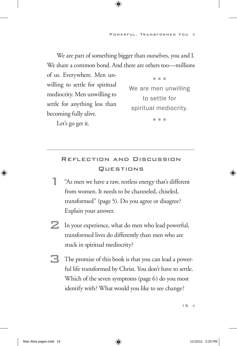We are part of something bigger than ourselves, you and I. We share a common bond. And there are others too—millions

of us. Everywhere. Men unwilling to settle for spiritual mediocrity. Men unwilling to settle for anything less than becoming fully alive.

Let's go get it.

We are men unwilling to settle for spiritual mediocrity.

n n n

n n n

#### Reflection and Discussion **QUESTIONS**

- 1 "As men we have a raw, restless energy that's different from women. It needs to be channeled, chiseled, transformed" (page 5). Do you agree or disagree? Explain your answer.
- 2 In your experience, what do men who lead powerful, transformed lives do differently than men who are stuck in spiritual mediocrity?
- $\Box$  The promise of this book is that you can lead a powerful life transformed by Christ. You don't have to settle. Which of the seven symptoms (page 6) do you most identify with? What would you like to see change?